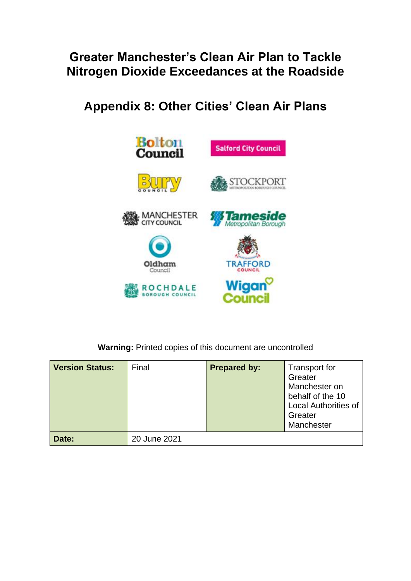## **Greater Manchester's Clean Air Plan to Tackle Nitrogen Dioxide Exceedances at the Roadside**

**Appendix 8: Other Cities' Clean Air Plans**



**Warning:** Printed copies of this document are uncontrolled

| <b>Version Status:</b> | Final        | <b>Prepared by:</b> | <b>Transport for</b><br>Greater<br>Manchester on<br>behalf of the 10<br><b>Local Authorities of</b><br>Greater<br>Manchester |
|------------------------|--------------|---------------------|------------------------------------------------------------------------------------------------------------------------------|
| Date:                  | 20 June 2021 |                     |                                                                                                                              |